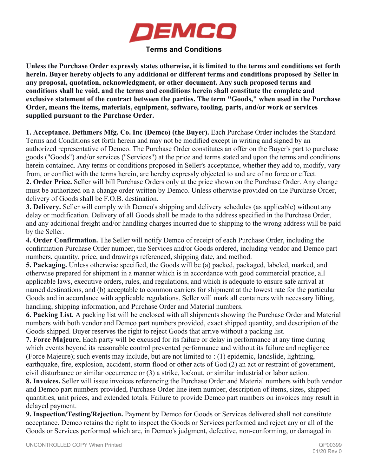

## **Terms and Conditions**

**Unless the Purchase Order expressly states otherwise, it is limited to the terms and conditions set forth herein. Buyer hereby objects to any additional or different terms and conditions proposed by Seller in any proposal, quotation, acknowledgment, or other document. Any such proposed terms and conditions shall be void, and the terms and conditions herein shall constitute the complete and exclusive statement of the contract between the parties. The term "Goods," when used in the Purchase Order, means the items, materials, equipment, software, tooling, parts, and/or work or services supplied pursuant to the Purchase Order.**

**1. Acceptance. Dethmers Mfg. Co. Inc (Demco) (the Buyer).** Each Purchase Order includes the Standard Terms and Conditions set forth herein and may not be modified except in writing and signed by an authorized representative of Demco. The Purchase Order constitutes an offer on the Buyer's part to purchase goods ("Goods") and/or services ("Services") at the price and terms stated and upon the terms and conditions herein contained. Any terms or conditions proposed in Seller's acceptance, whether they add to, modify, vary from, or conflict with the terms herein, are hereby expressly objected to and are of no force or effect.

**2. Order Price.** Seller will bill Purchase Orders only at the price shown on the Purchase Order. Any change must be authorized on a change order written by Demco. Unless otherwise provided on the Purchase Order, delivery of Goods shall be F.O.B. destination.

**3. Delivery.** Seller will comply with Demco's shipping and delivery schedules (as applicable) without any delay or modification. Delivery of all Goods shall be made to the address specified in the Purchase Order, and any additional freight and/or handling charges incurred due to shipping to the wrong address will be paid by the Seller.

**4. Order Confirmation.** The Seller will notify Demco of receipt of each Purchase Order, including the confirmation Purchase Order number, the Services and/or Goods ordered, including vendor and Demco part numbers, quantity, price, and drawings referenced, shipping date, and method.

**5. Packaging.** Unless otherwise specified, the Goods will be (a) packed, packaged, labeled, marked, and otherwise prepared for shipment in a manner which is in accordance with good commercial practice, all applicable laws, executive orders, rules, and regulations, and which is adequate to ensure safe arrival at named destinations, and (b) acceptable to common carriers for shipment at the lowest rate for the particular Goods and in accordance with applicable regulations. Seller will mark all containers with necessary lifting, handling, shipping information, and Purchase Order and Material numbers.

**6. Packing List.** A packing list will be enclosed with all shipments showing the Purchase Order and Material numbers with both vendor and Demco part numbers provided, exact shipped quantity, and description of the Goods shipped. Buyer reserves the right to reject Goods that arrive without a packing list.

**7. Force Majeure.** Each party will be excused for its failure or delay in performance at any time during which events beyond its reasonable control prevented performance and without its failure and negligence (Force Majeure); such events may include, but are not limited to : (1) epidemic, landslide, lightning, earthquake, fire, explosion, accident, storm flood or other acts of God (2) an act or restraint of government, civil disturbance or similar occurrence or (3) a strike, lockout, or similar industrial or labor action.

**8. Invoices.** Seller will issue invoices referencing the Purchase Order and Material numbers with both vendor and Demco part numbers provided, Purchase Order line item number, description of items, sizes, shipped quantities, unit prices, and extended totals. Failure to provide Demco part numbers on invoices may result in delayed payment.

**9. Inspection/Testing/Rejection.** Payment by Demco for Goods or Services delivered shall not constitute acceptance. Demco retains the right to inspect the Goods or Services performed and reject any or all of the Goods or Services performed which are, in Demco's judgment, defective, non-conforming, or damaged in